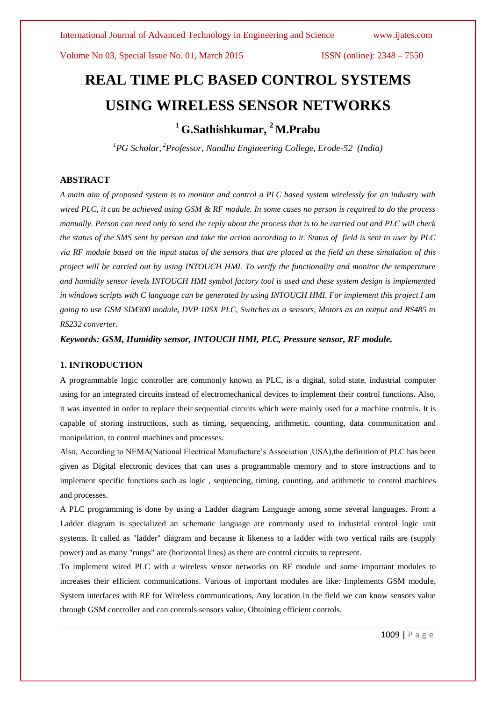Volume No 03, Special Issue No. 01, March 2015 **ISSN** (online):  $2348 - 7550$ 

# **REAL TIME PLC BASED CONTROL SYSTEMS USING WIRELESS SENSOR NETWORKS** <sup>1</sup> **G.Sathishkumar, <sup>2</sup> M.Prabu**

*<sup>1</sup>PG Scholar, <sup>2</sup>Professor, Nandha Engineering College, Erode-52 (India)* 

# **ABSTRACT**

*A main aim of proposed system is to monitor and control a PLC based system wirelessly for an industry with wired PLC, it can be achieved using GSM & RF module. In some cases no person is required to do the process manually. Person can need only to send the reply about the process that is to be carried out and PLC will check the status of the SMS sent by person and take the action according to it. Status of field is sent to user by PLC via RF module based on the input status of the sensors that are placed at the field an these simulation of this project will be carried out by using INTOUCH HMI. To verify the functionality and monitor the temperature and humidity sensor levels INTOUCH HMI symbol factory tool is used and these system design is implemented in windows scripts with C language can be generated by using INTOUCH HMI. For implement this project I am going to use GSM SIM300 module, DVP 10SX PLC, Switches as a sensors, Motors as an output and RS485 to RS232 converter.*

*Keywords: GSM, Humidity sensor, INTOUCH HMI, PLC, Pressure sensor, RF module.* 

#### **1. INTRODUCTION**

A programmable logic controller are commonly known as PLC, is a digital, solid state, industrial computer using for an integrated circuits instead of electromechanical devices to implement their control functions. Also, it was invented in order to replace their sequential circuits which were mainly used for a machine controls. It is capable of storing instructions, such as timing, sequencing, arithmetic, counting, data communication and manipulation, to control machines and processes.

Also, According to NEMA(National Electrical Manufacture's Association ,USA),the definition of PLC has been given as Digital electronic devices that can uses a programmable memory and to store instructions and to implement specific functions such as logic , sequencing, timing, counting, and arithmetic to control machines and processes.

A PLC programming is done by using a Ladder diagram Language among some several languages. From a Ladder diagram is specialized an schematic language are commonly used to industrial control logic unit systems. It called as "ladder" diagram and because it likeness to a ladder with two vertical rails are (supply power) and as many "rungs" are (horizontal lines) as there are control circuits to represent.

To implement wired PLC with a wireless sensor networks on RF module and some important modules to increases their efficient communications. Various of important modules are like: Implements GSM module, System interfaces with RF for Wireless communications, Any location in the field we can know sensors value through GSM controller and can controls sensors value, Obtaining efficient controls.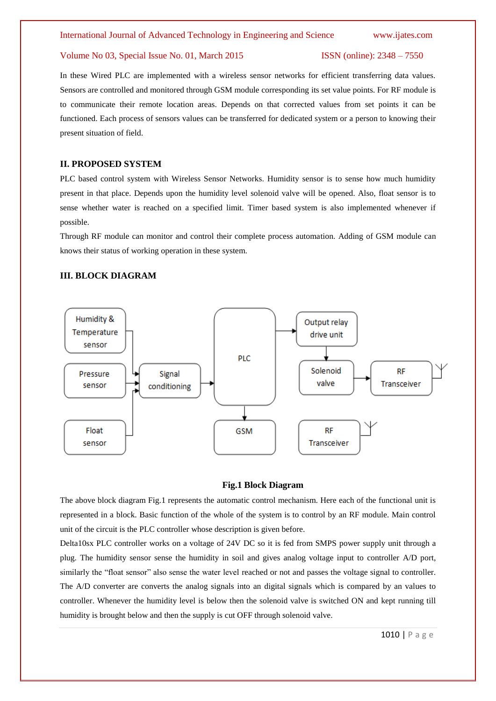#### Volume No 03, Special Issue No. 01, March 2015 ISSN (online): 2348 – 7550

In these Wired PLC are implemented with a wireless sensor networks for efficient transferring data values. Sensors are controlled and monitored through GSM module corresponding its set value points. For RF module is to communicate their remote location areas. Depends on that corrected values from set points it can be functioned. Each process of sensors values can be transferred for dedicated system or a person to knowing their present situation of field.

### **II. PROPOSED SYSTEM**

PLC based control system with Wireless Sensor Networks. Humidity sensor is to sense how much humidity present in that place. Depends upon the humidity level solenoid valve will be opened. Also, float sensor is to sense whether water is reached on a specified limit. Timer based system is also implemented whenever if possible.

Through RF module can monitor and control their complete process automation. Adding of GSM module can knows their status of working operation in these system.

# **III. BLOCK DIAGRAM**



#### **Fig.1 Block Diagram**

The above block diagram Fig.1 represents the automatic control mechanism. Here each of the functional unit is represented in a block. Basic function of the whole of the system is to control by an RF module. Main control unit of the circuit is the PLC controller whose description is given before.

Delta10sx PLC controller works on a voltage of 24V DC so it is fed from SMPS power supply unit through a plug. The humidity sensor sense the humidity in soil and gives analog voltage input to controller A/D port, similarly the "float sensor" also sense the water level reached or not and passes the voltage signal to controller. The A/D converter are converts the analog signals into an digital signals which is compared by an values to controller. Whenever the humidity level is below then the solenoid valve is switched ON and kept running till humidity is brought below and then the supply is cut OFF through solenoid valve.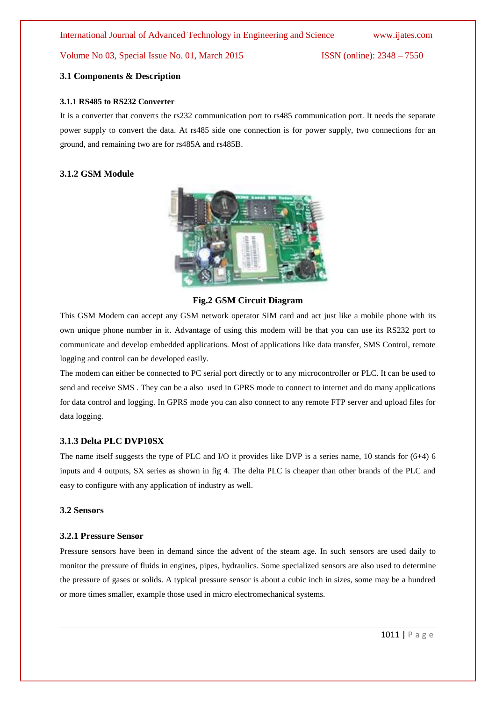#### Volume No 03, Special Issue No. 01, March 2015 ISSN (online): 2348 – 7550

#### **3.1 Components & Description**

#### **3.1.1 RS485 to RS232 Converter**

It is a converter that converts the rs232 communication port to rs485 communication port. It needs the separate power supply to convert the data. At rs485 side one connection is for power supply, two connections for an ground, and remaining two are for rs485A and rs485B.

# **3.1.2 GSM Module**



### **Fig.2 GSM Circuit Diagram**

This GSM Modem can accept any GSM network operator SIM card and act just like a mobile phone with its own unique phone number in it. Advantage of using this modem will be that you can use its RS232 port to communicate and develop embedded applications. Most of applications like data transfer, SMS Control, remote logging and control can be developed easily.

The modem can either be connected to PC serial port directly or to any microcontroller or PLC. It can be used to send and receive SMS . They can be a also used in GPRS mode to connect to internet and do many applications for data control and logging. In GPRS mode you can also connect to any remote FTP server and upload files for data logging.

# **3.1.3 Delta PLC DVP10SX**

The name itself suggests the type of PLC and I/O it provides like DVP is a series name, 10 stands for (6+4) 6 inputs and 4 outputs, SX series as shown in fig 4. The delta PLC is cheaper than other brands of the PLC and easy to configure with any application of industry as well.

#### **3.2 Sensors**

#### **3.2.1 Pressure Sensor**

Pressure sensors have been in demand since the advent of the steam age. In such sensors are used daily to monitor the pressure of fluids in engines, pipes, hydraulics. Some specialized sensors are also used to determine the pressure of gases or solids. A typical pressure sensor is about a cubic inch in sizes, some may be a hundred or more times smaller, example those used in micro electromechanical systems.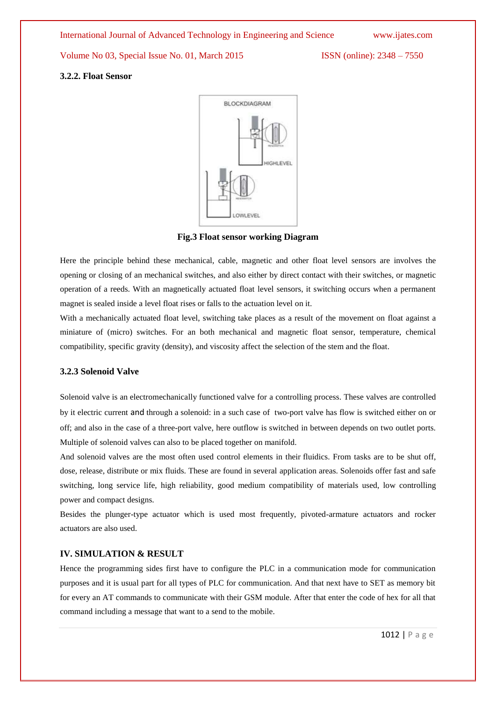International Journal of Advanced Technology in Engineering and Science www.ijates.com

Volume No 03, Special Issue No. 01, March 2015 ISSN (online): 2348 – 7550

#### **3.2.2. Float Sensor**



**Fig.3 Float sensor working Diagram**

Here the principle behind these mechanical, cable, magnetic and other float level sensors are involves the opening or closing of an mechanical switches, and also either by direct contact with their switches, or magnetic operation of a reeds. With an magnetically actuated float level sensors, it switching occurs when a permanent magnet is sealed inside a level float rises or falls to the actuation level on it.

With a mechanically actuated float level, switching take places as a result of the movement on float against a miniature of (micro) switches. For an both mechanical and magnetic float sensor, temperature, chemical compatibility, specific gravity (density), and viscosity affect the selection of the stem and the float.

### **3.2.3 Solenoid Valve**

Solenoid valve is an electromechanically functioned valve for a controlling process. These valves are controlled by it electric current and through a solenoid: in a such case of two-port valve has flow is switched either on or off; and also in the case of a three-port valve, here outflow is switched in between depends on two outlet ports. Multiple of solenoid valves can also to be placed together on manifold.

And solenoid valves are the most often used control elements in their fluidics. From tasks are to be shut off, dose, release, distribute or mix fluids. These are found in several application areas. Solenoids offer fast and safe switching, long service life, high reliability, good medium compatibility of materials used, low controlling power and compact designs.

Besides the plunger-type actuator which is used most frequently, pivoted-armature actuators and rocker actuators are also used.

# **IV. SIMULATION & RESULT**

Hence the programming sides first have to configure the PLC in a communication mode for communication purposes and it is usual part for all types of PLC for communication. And that next have to SET as memory bit for every an AT commands to communicate with their GSM module. After that enter the code of hex for all that command including a message that want to a send to the mobile.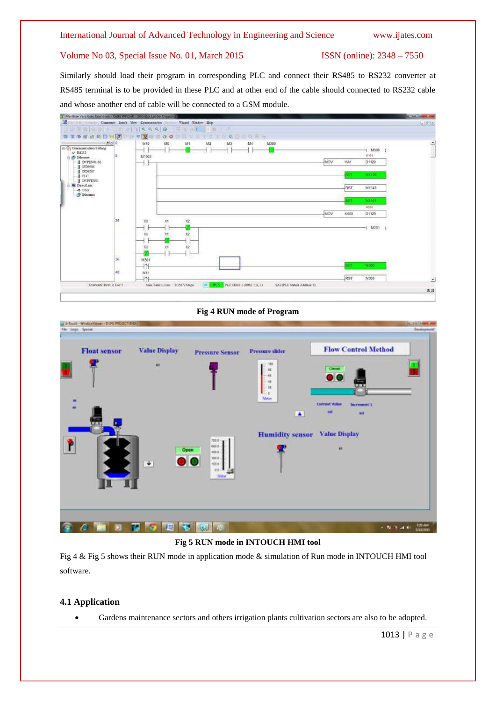# Volume No 03, Special Issue No. 01, March 2015 ISSN (online): 2348 – 7550

Similarly should load their program in corresponding PLC and connect their RS485 to RS232 converter at RS485 terminal is to be provided in these PLC and at other end of the cable should connected to RS232 cable and whose another end of cable will be connected to a GSM module.



### **Fig 4 RUN mode of Program**

| <b>Float sensor</b> | <b>Value Display</b>   | <b>Pressure Sensor</b>                                  | <b>Pressure slider</b>                                  | <b>Flow Control Method</b>                                             |  |
|---------------------|------------------------|---------------------------------------------------------|---------------------------------------------------------|------------------------------------------------------------------------|--|
|                     | w                      |                                                         | 108<br>$\pm$<br>$+1$<br>$\overline{a}$<br>$\rightarrow$ | Gmm<br>$\bullet$                                                       |  |
| i i                 |                        |                                                         | ×.<br><b>Meter</b><br>×                                 | <b>Current Value</b><br><b>Increasent 1</b><br><b>HH</b><br><b>WIE</b> |  |
|                     |                        | 755.8<br>oni e                                          | <b>Humidity sensor</b>                                  | <b>Value Display</b>                                                   |  |
|                     | $\left  \cdot \right $ | Open<br>$ext{E}$<br>300.8<br>$\bullet$<br>title<br>18.6 |                                                         | w                                                                      |  |
|                     |                        | Sister                                                  |                                                         |                                                                        |  |
|                     |                        |                                                         |                                                         |                                                                        |  |

### **Fig 5 RUN mode in INTOUCH HMI tool**

Fig 4 & Fig 5 shows their RUN mode in application mode & simulation of Run mode in INTOUCH HMI tool software.

# **4.1 Application**

Gardens maintenance sectors and others irrigation plants cultivation sectors are also to be adopted.